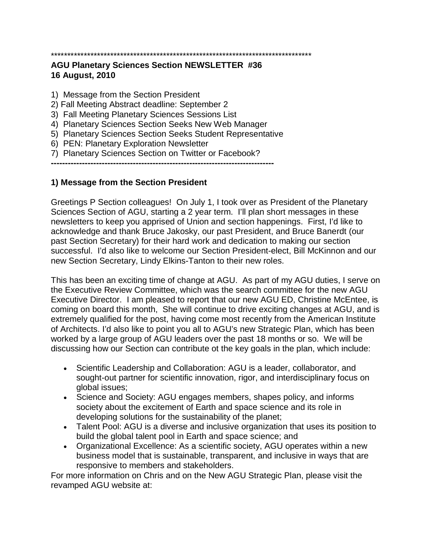# \*\*\*\*\*\*\*\*\*\*\*\*\*\*\*\*\*\*\*\*\*\*\*\*\*\*\*\*\*\*\*\*\*\*\*\*\*\*\*\*\*\*\*\*\*\*\*\*\*\*\*\*\*\*\*\*\*\*\*\*\*\*\*\*\*\*\*\*\*\*\*\*\*\*\*\*\*\*\*

#### **AGU Planetary Sciences Section NEWSLETTER #36 16 August, 2010**

- 1) Message from the Section President
- 2) Fall Meeting Abstract deadline: September 2
- 3) Fall Meeting Planetary Sciences Sessions List
- 4) Planetary Sciences Section Seeks New Web Manager
- 5) Planetary Sciences Section Seeks Student Representative
- 6) PEN: Planetary Exploration Newsletter
- 7) Planetary Sciences Section on Twitter or Facebook?

**-------------------------------------------------------------------------------**

#### **1) Message from the Section President**

Greetings P Section colleagues! On July 1, I took over as President of the Planetary Sciences Section of AGU, starting a 2 year term. I'll plan short messages in these newsletters to keep you apprised of Union and section happenings. First, I'd like to acknowledge and thank Bruce Jakosky, our past President, and Bruce Banerdt (our past Section Secretary) for their hard work and dedication to making our section successful. I'd also like to welcome our Section President-elect, Bill McKinnon and our new Section Secretary, Lindy Elkins-Tanton to their new roles.

This has been an exciting time of change at AGU. As part of my AGU duties, I serve on the Executive Review Committee, which was the search committee for the new AGU Executive Director. I am pleased to report that our new AGU ED, Christine McEntee, is coming on board this month, She will continue to drive exciting changes at AGU, and is extremely qualified for the post, having come most recently from the American Institute of Architects. I'd also like to point you all to AGU's new Strategic Plan, which has been worked by a large group of AGU leaders over the past 18 months or so. We will be discussing how our Section can contribute ot the key goals in the plan, which include:

- Scientific Leadership and Collaboration: AGU is a leader, collaborator, and sought-out partner for scientific innovation, rigor, and interdisciplinary focus on global issues;
- Science and Society: AGU engages members, shapes policy, and informs society about the excitement of Earth and space science and its role in developing solutions for the sustainability of the planet;
- Talent Pool: AGU is a diverse and inclusive organization that uses its position to build the global talent pool in Earth and space science; and
- Organizational Excellence: As a scientific society, AGU operates within a new business model that is sustainable, transparent, and inclusive in ways that are responsive to members and stakeholders.

For more information on Chris and on the New AGU Strategic Plan, please visit the revamped AGU website at: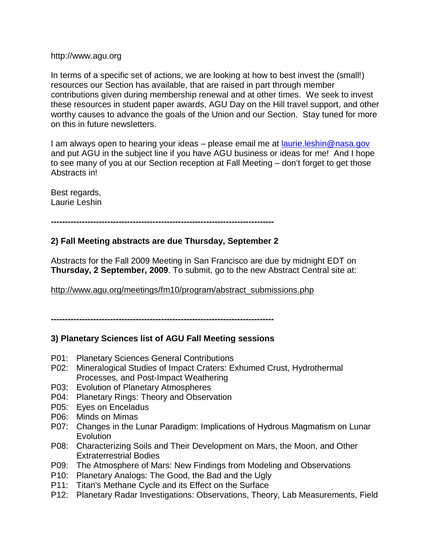#### http://www.agu.org

In terms of a specific set of actions, we are looking at how to best invest the (small!) resources our Section has available, that are raised in part through member contributions given during membership renewal and at other times. We seek to invest these resources in student paper awards, AGU Day on the Hill travel support, and other worthy causes to advance the goals of the Union and our Section. Stay tuned for more on this in future newsletters.

I am always open to hearing your ideas – please email me at <u>laurie.leshin@nasa.gov</u> and put AGU in the subject line if you have AGU business or ideas for me! And I hope to see many of you at our Section reception at Fall Meeting – don't forget to get those Abstracts in!

Best regards, Laurie Leshin

**-------------------------------------------------------------------------------**

### **2) Fall Meeting abstracts are due Thursday, September 2**

Abstracts for the Fall 2009 Meeting in San Francisco are due by midnight EDT on **Thursday, 2 September, 2009**. To submit, go to the new Abstract Central site at:

http://www.agu.org/meetings/fm10/program/abstract\_submissions.php

**-------------------------------------------------------------------------------**

#### **3) Planetary Sciences list of AGU Fall Meeting sessions**

- P01: Planetary Sciences General Contributions
- P02: Mineralogical Studies of Impact Craters: Exhumed Crust, Hydrothermal Processes, and Post-Impact Weathering
- P03: Evolution of Planetary Atmospheres
- P04: Planetary Rings: Theory and Observation
- P05: Eyes on Enceladus
- P06: Minds on Mimas
- P07: Changes in the Lunar Paradigm: Implications of Hydrous Magmatism on Lunar **Evolution**
- P08: Characterizing Soils and Their Development on Mars, the Moon, and Other Extraterrestrial Bodies
- P09: The Atmosphere of Mars: New Findings from Modeling and Observations
- P10: Planetary Analogs: The Good, the Bad and the Ugly
- P11: Titan's Methane Cycle and its Effect on the Surface
- P12: Planetary Radar Investigations: Observations, Theory, Lab Measurements, Field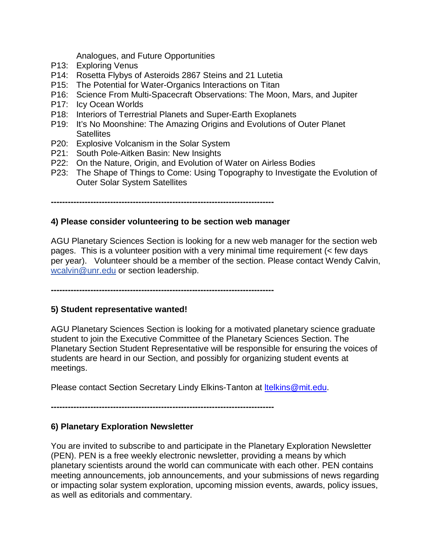Analogues, and Future Opportunities

- P13: Exploring Venus
- P14: Rosetta Flybys of Asteroids 2867 Steins and 21 Lutetia
- P15: The Potential for Water-Organics Interactions on Titan
- P16: Science From Multi-Spacecraft Observations: The Moon, Mars, and Jupiter
- P17: Icy Ocean Worlds
- P18: Interiors of Terrestrial Planets and Super-Earth Exoplanets
- P19: It's No Moonshine: The Amazing Origins and Evolutions of Outer Planet **Satellites**
- P20: Explosive Volcanism in the Solar System
- P21: South Pole-Aitken Basin: New Insights
- P22: On the Nature, Origin, and Evolution of Water on Airless Bodies
- P23: The Shape of Things to Come: Using Topography to Investigate the Evolution of Outer Solar System Satellites

**-------------------------------------------------------------------------------**

### **4) Please consider volunteering to be section web manager**

AGU Planetary Sciences Section is looking for a new web manager for the section web pages. This is a volunteer position with a very minimal time requirement (< few days per year). Volunteer should be a member of the section. Please contact Wendy Calvin, wcalvin@unr.edu or section leadership.

**-------------------------------------------------------------------------------**

#### **5) Student representative wanted!**

AGU Planetary Sciences Section is looking for a motivated planetary science graduate student to join the Executive Committee of the Planetary Sciences Section. The Planetary Section Student Representative will be responsible for ensuring the voices of students are heard in our Section, and possibly for organizing student events at meetings.

Please contact Section Secretary Lindy Elkins-Tanton at **Itelkins@mit.edu.** 

**-------------------------------------------------------------------------------**

### **6) Planetary Exploration Newsletter**

You are invited to subscribe to and participate in the Planetary Exploration Newsletter (PEN). PEN is a free weekly electronic newsletter, providing a means by which planetary scientists around the world can communicate with each other. PEN contains meeting announcements, job announcements, and your submissions of news regarding or impacting solar system exploration, upcoming mission events, awards, policy issues, as well as editorials and commentary.